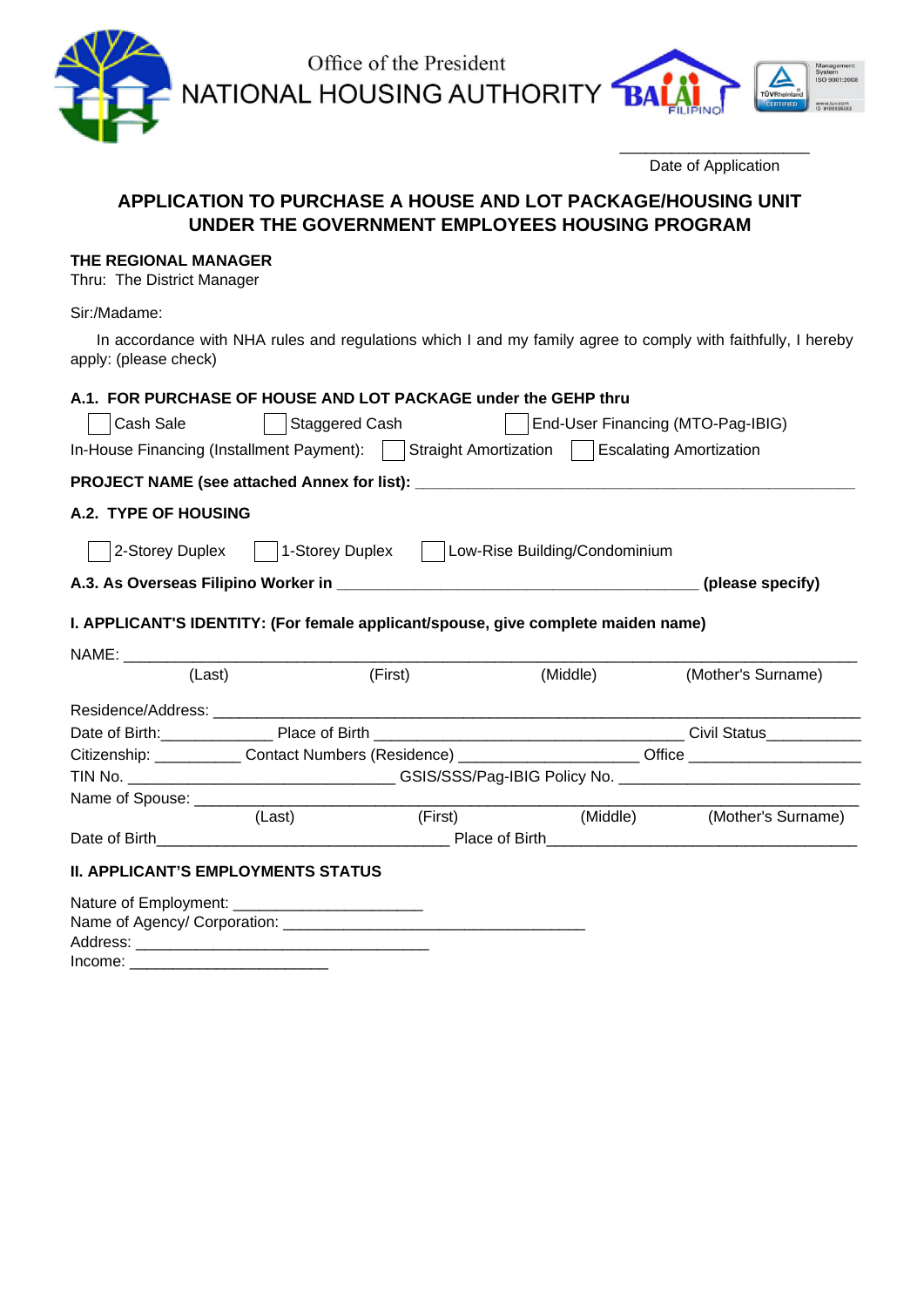Office of the President<br>NATIONAL HOUSING AUTHORITY

 ${\bf B}$ 

\_\_\_\_\_\_\_\_\_\_\_\_\_\_\_\_\_\_\_\_\_\_ Date of Application

# **APPLICATION TO PURCHASE A HOUSE AND LOT PACKAGE/HOUSING UNIT UNDER THE GOVERNMENT EMPLOYEES HOUSING PROGRAM**

# **THE REGIONAL MANAGER**

Thru: The District Manager

Sir:/Madame:

 In accordance with NHA rules and regulations which I and my family agree to comply with faithfully, I hereby apply: (please check)

| A.1. FOR PURCHASE OF HOUSE AND LOT PACKAGE under the GEHP thru                                  |                                                                                                      |          |                             |  |  |
|-------------------------------------------------------------------------------------------------|------------------------------------------------------------------------------------------------------|----------|-----------------------------|--|--|
| Cash Sale                                                                                       | Staggered Cash   End-User Financing (MTO-Pag-IBIG)                                                   |          |                             |  |  |
| In-House Financing (Installment Payment):     Straight Amortization     Escalating Amortization |                                                                                                      |          |                             |  |  |
|                                                                                                 |                                                                                                      |          |                             |  |  |
| A.2. TYPE OF HOUSING                                                                            |                                                                                                      |          |                             |  |  |
|                                                                                                 | 2-Storey Duplex     1-Storey Duplex     Low-Rise Building/Condominium                                |          |                             |  |  |
|                                                                                                 |                                                                                                      |          |                             |  |  |
| I. APPLICANT'S IDENTITY: (For female applicant/spouse, give complete maiden name)               |                                                                                                      | (Middle) | (Mother's Surname)          |  |  |
|                                                                                                 |                                                                                                      |          |                             |  |  |
|                                                                                                 |                                                                                                      |          |                             |  |  |
|                                                                                                 | Citizenship: ____________Contact Numbers (Residence) ____________________Office ____________________ |          |                             |  |  |
|                                                                                                 |                                                                                                      |          |                             |  |  |
|                                                                                                 |                                                                                                      |          |                             |  |  |
|                                                                                                 | (First)<br>(Last)                                                                                    |          | (Middle) (Mother's Surname) |  |  |
|                                                                                                 |                                                                                                      |          |                             |  |  |
| <b>II. APPLICANT'S EMPLOYMENTS STATUS</b>                                                       |                                                                                                      |          |                             |  |  |
|                                                                                                 |                                                                                                      |          |                             |  |  |
|                                                                                                 |                                                                                                      |          |                             |  |  |
|                                                                                                 |                                                                                                      |          |                             |  |  |

Income: \_\_\_\_\_\_\_\_\_\_\_\_\_\_\_\_\_\_\_\_\_\_\_